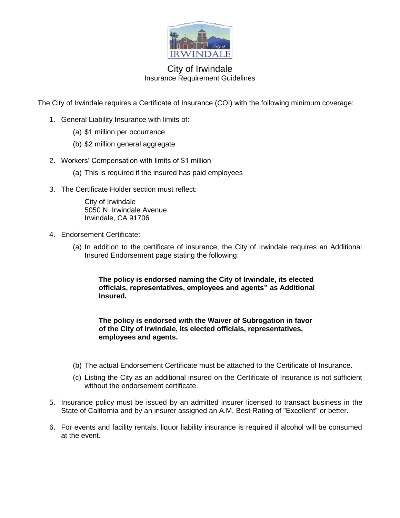

### City of Irwindale Insurance Requirement Guidelines

The City of Irwindale requires a Certificate of Insurance (COI) with the following minimum coverage:

- 1. General Liability Insurance with limits of:
	- (a) \$1 million per occurrence
	- (b) \$2 million general aggregate
- 2. Workers' Compensation with limits of \$1 million
	- (a) This is required if the insured has paid employees
- 3. The Certificate Holder section must reflect:

City of Irwindale 5050 N. Irwindale Avenue Irwindale, CA 91706

- 4. Endorsement Certificate:
	- (a) In addition to the certificate of insurance, the City of Irwindale requires an Additional Insured Endorsement page stating the following:

**The policy is endorsed naming the City of Irwindale, its elected officials, representatives, employees and agents" as Additional Insured.** 

**The policy is endorsed with the Waiver of Subrogation in favor of the City of Irwindale, its elected officials, representatives, employees and agents.** 

- (b) The actual Endorsement Certificate must be attached to the Certificate of Insurance.
- (c) Listing the City as an additional insured on the Certificate of Insurance is not sufficient without the endorsement certificate.
- 5. Insurance policy must be issued by an admitted insurer licensed to transact business in the State of California and by an insurer assigned an A.M. Best Rating of "Excellent" or better.
- 6. For events and facility rentals, liquor liability insurance is required if alcohol will be consumed at the event.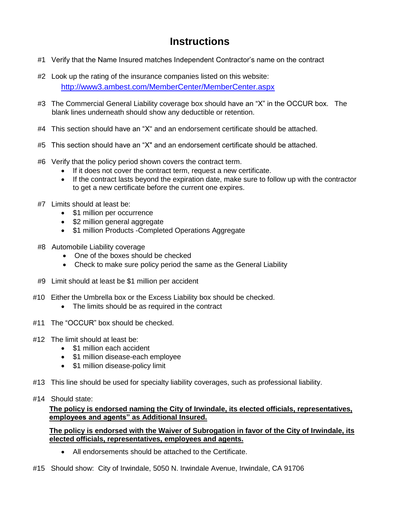# **Instructions**

- #1 Verify that the Name Insured matches Independent Contractor's name on the contract
- #2 Look up the rating of the insurance companies listed on this website: <http://www3.ambest.com/MemberCenter/MemberCenter.aspx>
- #3 The Commercial General Liability coverage box should have an "X" in the OCCUR box. The blank lines underneath should show any deductible or retention.
- #4 This section should have an "X" and an endorsement certificate should be attached.
- #5 This section should have an "X" and an endorsement certificate should be attached.
- #6 Verify that the policy period shown covers the contract term.
	- If it does not cover the contract term, request a new certificate.
	- If the contract lasts beyond the expiration date, make sure to follow up with the contractor to get a new certificate before the current one expires.
- #7 Limits should at least be:
	- \$1 million per occurrence
	- \$2 million general aggregate
	- \$1 million Products -Completed Operations Aggregate
- #8 Automobile Liability coverage
	- One of the boxes should be checked
	- Check to make sure policy period the same as the General Liability
- #9 Limit should at least be \$1 million per accident
- #10 Either the Umbrella box or the Excess Liability box should be checked.
	- The limits should be as required in the contract
- #11 The "OCCUR" box should be checked.
- #12 The limit should at least be:
	- \$1 million each accident
	- \$1 million disease-each employee
	- \$1 million disease-policy limit
- #13 This line should be used for specialty liability coverages, such as professional liability.
- #14 Should state:

**The policy is endorsed naming the City of Irwindale, its elected officials, representatives, employees and agents" as Additional Insured.** 

**The policy is endorsed with the Waiver of Subrogation in favor of the City of Irwindale, its elected officials, representatives, employees and agents.**

- All endorsements should be attached to the Certificate.
- #15 Should show: City of Irwindale, 5050 N. Irwindale Avenue, Irwindale, CA 91706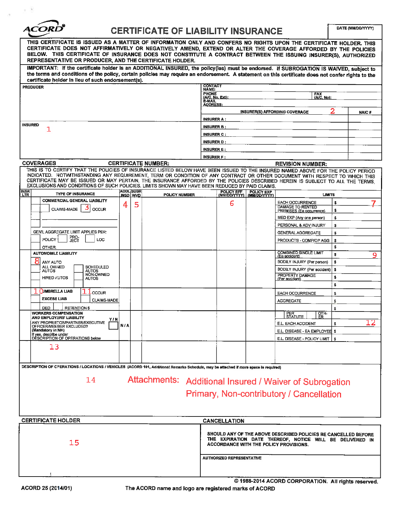**ACO!** 

### **CERTIFICATE OF LIABILITY INSURANCE**

DATE (MM/DD/YYYY)

| THIS CERTIFICATE IS ISSUED AS A MATTER OF INFORMATION ONLY AND CONFERS NO RIGHTS UPON THE CERTIFICATE HOLDER. THIS<br>CERTIFICATE DOES NOT AFFIRMATIVELY OR NEGATIVELY AMEND, EXTEND OR ALTER THE COVERAGE AFFORDED BY THE POLICIES<br>BELOW. THIS CERTIFICATE OF INSURANCE DOES NOT CONSTITUTE A CONTRACT BETWEEN THE ISSUING INSURER(S), AUTHORIZED<br>REPRESENTATIVE OR PRODUCER. AND THE CERTIFICATE HOLDER. |     |                                       |                      |                   |                                                                                                                                                                      |                            |                                               |                |    |  |
|------------------------------------------------------------------------------------------------------------------------------------------------------------------------------------------------------------------------------------------------------------------------------------------------------------------------------------------------------------------------------------------------------------------|-----|---------------------------------------|----------------------|-------------------|----------------------------------------------------------------------------------------------------------------------------------------------------------------------|----------------------------|-----------------------------------------------|----------------|----|--|
| IMPORTANT: If the certificate holder is an ADDITIONAL INSURED, the policy(les) must be endorsed. If SUBROGATION IS WAIVED, subject to<br>the terms and conditions of the policy, certain policies may require an endorsement. A statement on this certificate does not confer rights to the                                                                                                                      |     |                                       |                      |                   |                                                                                                                                                                      |                            |                                               |                |    |  |
| certificate holder in lieu of such endorsement(s).                                                                                                                                                                                                                                                                                                                                                               |     |                                       |                      |                   |                                                                                                                                                                      |                            |                                               |                |    |  |
| <b>PRODUCER</b>                                                                                                                                                                                                                                                                                                                                                                                                  |     |                                       |                      |                   | <b>CONTACT</b><br>NAME:                                                                                                                                              |                            |                                               |                |    |  |
|                                                                                                                                                                                                                                                                                                                                                                                                                  |     |                                       |                      |                   | PHONE<br><b>FAX</b><br>(A/C, No):<br>(A/C, No. Ext).                                                                                                                 |                            |                                               |                |    |  |
|                                                                                                                                                                                                                                                                                                                                                                                                                  |     |                                       |                      |                   | <b>E-MAIL</b><br><b>ADDRESS:</b>                                                                                                                                     |                            |                                               |                |    |  |
|                                                                                                                                                                                                                                                                                                                                                                                                                  |     |                                       |                      |                   | <b>INSURER(S) AFFORDING COVERAGE</b><br><b>NAIC#</b>                                                                                                                 |                            |                                               |                |    |  |
|                                                                                                                                                                                                                                                                                                                                                                                                                  |     |                                       |                      |                   | <b>INSURER A:</b>                                                                                                                                                    |                            |                                               |                |    |  |
| <b>INSURED</b>                                                                                                                                                                                                                                                                                                                                                                                                   |     |                                       |                      |                   | <b>INSURER B:</b>                                                                                                                                                    |                            |                                               |                |    |  |
| 1                                                                                                                                                                                                                                                                                                                                                                                                                |     |                                       |                      |                   | <b>INSURER C:</b>                                                                                                                                                    |                            |                                               |                |    |  |
|                                                                                                                                                                                                                                                                                                                                                                                                                  |     |                                       |                      |                   | <b>INSURER D:</b>                                                                                                                                                    |                            |                                               |                |    |  |
|                                                                                                                                                                                                                                                                                                                                                                                                                  |     |                                       |                      |                   | <b>INSURER E:</b>                                                                                                                                                    |                            |                                               |                |    |  |
|                                                                                                                                                                                                                                                                                                                                                                                                                  |     |                                       |                      | <b>INSURER F:</b> |                                                                                                                                                                      |                            |                                               |                |    |  |
| <b>COVERAGES</b><br><b>CERTIFICATE NUMBER:</b>                                                                                                                                                                                                                                                                                                                                                                   |     |                                       |                      |                   |                                                                                                                                                                      |                            | <b>REVISION NUMBER:</b>                       |                |    |  |
| THIS IS TO CERTIFY THAT THE POLICIES OF INSURANCE LISTED BELOW HAVE BEEN ISSUED TO THE INSURED NAMED ABOVE FOR THE POLICY PERIOD                                                                                                                                                                                                                                                                                 |     |                                       |                      |                   |                                                                                                                                                                      |                            |                                               |                |    |  |
| INDICATED. NOTWITHSTANDING ANY REQUIREMENT, TERM OR CONDITION OF ANY CONTRACT OR OTHER DOCUMENT WITH RESPECT TO WHICH THIS<br>CERTIFICATE MAY BE ISSUED OR MAY PERTAIN, THE INSURANCE AFFORDED BY THE POLICIES DESCRIBED HEREIN IS SUBJECT TO ALL THE TERMS,<br>EXCLUSIONS AND CONDITIONS OF SUCH POLICIES. LIMITS SHOWN MAY HAVE BEEN REDUCED BY PAID CLAIMS.                                                   |     |                                       |                      |                   |                                                                                                                                                                      |                            |                                               |                |    |  |
| <b>INSR</b><br>LTR<br><b>TYPE OF INSURANCE</b>                                                                                                                                                                                                                                                                                                                                                                   |     | <b>ADDL SUBR</b><br><u>jnsd i wvd</u> | <b>POLICY NUMBER</b> |                   | POLICY EFF                                                                                                                                                           | POLICY EXP<br>(MM/DD/YYYY) | <b>LIMITS</b>                                 |                |    |  |
| <b>COMMERCIAL GENERAL LIABILITY</b>                                                                                                                                                                                                                                                                                                                                                                              |     | 5                                     |                      |                   | 6                                                                                                                                                                    |                            | EACH OCCURRENCE                               | \$             |    |  |
| <b>CLAIMS-MADE</b><br><b>OCCUR</b>                                                                                                                                                                                                                                                                                                                                                                               | ◢   |                                       |                      |                   |                                                                                                                                                                      |                            | DAMAGE TO RENTED<br>PREMISES (Ea occurrence)  | s.             |    |  |
|                                                                                                                                                                                                                                                                                                                                                                                                                  |     |                                       |                      |                   |                                                                                                                                                                      |                            | MED EXP (Any one person)                      | \$             |    |  |
|                                                                                                                                                                                                                                                                                                                                                                                                                  |     |                                       |                      |                   |                                                                                                                                                                      |                            | PERSONAL & ADV INJURY                         | s              |    |  |
| GEN'L AGGREGATE LIMIT APPLIES PER:                                                                                                                                                                                                                                                                                                                                                                               |     |                                       |                      |                   |                                                                                                                                                                      |                            | <b>GENERAL AGGREGATE</b>                      | s              |    |  |
| PRO-<br>JECT<br>POLICY<br>LOC                                                                                                                                                                                                                                                                                                                                                                                    |     |                                       |                      |                   |                                                                                                                                                                      |                            | PRODUCTS - COMP/OP AGG                        | \$             |    |  |
| OTHER:                                                                                                                                                                                                                                                                                                                                                                                                           |     |                                       |                      |                   |                                                                                                                                                                      |                            |                                               | \$             |    |  |
| <b>AUTOMOBILE LIABILITY</b>                                                                                                                                                                                                                                                                                                                                                                                      |     |                                       |                      |                   |                                                                                                                                                                      |                            | <b>COMBINED SINGLE LIMIT</b><br>(Ea accident) | $\overline{5}$ | 9  |  |
| ANY AUTO                                                                                                                                                                                                                                                                                                                                                                                                         |     |                                       |                      |                   |                                                                                                                                                                      |                            | BODILY INJURY (Per person)                    | \$             |    |  |
| ALL OWNED<br><b>SCHEDULED</b><br><b>AUTOS</b><br><b>AUTOS</b>                                                                                                                                                                                                                                                                                                                                                    |     |                                       |                      |                   |                                                                                                                                                                      |                            | BODILY INJURY (Per accident)                  | \$             |    |  |
| NON-OWNED<br><b>HIRED AUTOS</b>                                                                                                                                                                                                                                                                                                                                                                                  |     |                                       |                      |                   |                                                                                                                                                                      |                            | PROPERTY DAMAGE                               | \$             |    |  |
| <b>AUTOS</b>                                                                                                                                                                                                                                                                                                                                                                                                     |     |                                       |                      |                   |                                                                                                                                                                      |                            | (Per accident)                                | \$             |    |  |
| <b>UMBRELLA LIAB</b><br><b>OCCUR</b>                                                                                                                                                                                                                                                                                                                                                                             |     |                                       |                      |                   |                                                                                                                                                                      |                            | <b>EACH OCCURRENCE</b>                        | \$             |    |  |
| <b>EXCESS LIAB</b><br><b>CLAIMS-MADE</b>                                                                                                                                                                                                                                                                                                                                                                         |     |                                       |                      |                   |                                                                                                                                                                      |                            | <b>AGGREGATE</b>                              | \$             |    |  |
| <b>DED</b><br><b>RETENTION \$</b>                                                                                                                                                                                                                                                                                                                                                                                |     |                                       |                      |                   |                                                                                                                                                                      |                            |                                               | \$             |    |  |
| <b>WORKERS COMPENSATION</b>                                                                                                                                                                                                                                                                                                                                                                                      |     |                                       |                      |                   |                                                                                                                                                                      |                            | PER<br>STATUTE<br>$\frac{QTH}{ER}$            |                |    |  |
| AND EMPLOYERS' LIABILITY<br>Y/N<br>ANY PROPRIETOR/PARTNER/EXECUTIVE                                                                                                                                                                                                                                                                                                                                              |     |                                       |                      |                   |                                                                                                                                                                      |                            |                                               |                | 12 |  |
| OFFICER/MEMBER EXCLUDED?<br>(Mandatory in NH)                                                                                                                                                                                                                                                                                                                                                                    | N/A |                                       |                      |                   |                                                                                                                                                                      |                            | E.L. EACH ACCIDENT                            | \$             |    |  |
| If yes, describe under<br>DESCRIPTION OF OPERATIONS below                                                                                                                                                                                                                                                                                                                                                        |     |                                       |                      |                   |                                                                                                                                                                      |                            | E.L. DISEASE - EA EMPLOYEE \$                 |                |    |  |
|                                                                                                                                                                                                                                                                                                                                                                                                                  |     |                                       |                      |                   |                                                                                                                                                                      |                            | E.L. DISEASE - POLICY LIMIT   \$              |                |    |  |
| 13                                                                                                                                                                                                                                                                                                                                                                                                               |     |                                       |                      |                   |                                                                                                                                                                      |                            |                                               |                |    |  |
| DESCRIPTION OF CPERATIONS / LOCATIONS / VEHICLES (ACORD 101, Additional Remarks Schedule, may be attached if more space is required)                                                                                                                                                                                                                                                                             |     |                                       |                      |                   |                                                                                                                                                                      |                            |                                               |                |    |  |
|                                                                                                                                                                                                                                                                                                                                                                                                                  |     |                                       |                      |                   |                                                                                                                                                                      |                            |                                               |                |    |  |
| Attachments: Additional Insured / Waiver of Subrogation<br>14                                                                                                                                                                                                                                                                                                                                                    |     |                                       |                      |                   |                                                                                                                                                                      |                            |                                               |                |    |  |
| Primary, Non-contributory / Cancellation                                                                                                                                                                                                                                                                                                                                                                         |     |                                       |                      |                   |                                                                                                                                                                      |                            |                                               |                |    |  |
|                                                                                                                                                                                                                                                                                                                                                                                                                  |     |                                       |                      |                   |                                                                                                                                                                      |                            |                                               |                |    |  |
|                                                                                                                                                                                                                                                                                                                                                                                                                  |     |                                       |                      |                   |                                                                                                                                                                      |                            |                                               |                |    |  |
|                                                                                                                                                                                                                                                                                                                                                                                                                  |     |                                       |                      |                   |                                                                                                                                                                      |                            |                                               |                |    |  |
| <b>CERTIFICATE HOLDER</b><br><b>CANCELLATION</b>                                                                                                                                                                                                                                                                                                                                                                 |     |                                       |                      |                   |                                                                                                                                                                      |                            |                                               |                |    |  |
| 15                                                                                                                                                                                                                                                                                                                                                                                                               |     |                                       |                      |                   | SHOULD ANY OF THE ABOVE DESCRIBED POLICIES BE CANCELLED BEFORE<br>THE EXPIRATION DATE THEREOF, NOTICE WILL BE DELIVERED IN<br>ACCORDANCE WITH THE POLICY PROVISIONS. |                            |                                               |                |    |  |
|                                                                                                                                                                                                                                                                                                                                                                                                                  |     |                                       |                      |                   | <b>AUTHORIZED REPRESENTATIVE</b>                                                                                                                                     |                            |                                               |                |    |  |
|                                                                                                                                                                                                                                                                                                                                                                                                                  |     |                                       |                      |                   |                                                                                                                                                                      |                            |                                               |                |    |  |

© 1988-2014 ACORD CORPORATION. All rights reserved.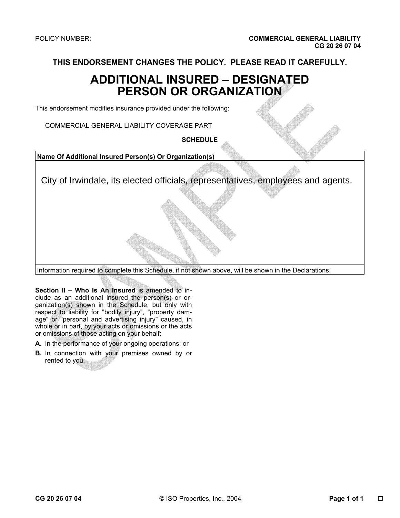**THIS ENDORSEMENT CHANGES THE POLICY. PLEASE READ IT CAREFULLY.** 

# **ADDITIONAL INSURED – DESIGNATED PERSON OR ORGANIZATION**

This endorsement modifies insurance provided under the following:

COMMERCIAL GENERAL LIABILITY COVERAGE PART

**SCHEDULE** 

**Name Of Additional Insured Person(s) Or Organization(s)** 

City of Irwindale, its elected officials, representatives, employees and agents.

Information required to complete this Schedule, if not shown above, will be shown in the Declarations.

**Section II – Who Is An Insured** is amended to include as an additional insured the person(s) or organization(s) shown in the Schedule, but only with respect to liability for "bodily injury", "property damage" or "personal and advertising injury" caused, in whole or in part, by your acts or omissions or the acts or omissions of those acting on your behalf:

- **A.** In the performance of your ongoing operations; or
- **B.** In connection with your premises owned by or rented to you.